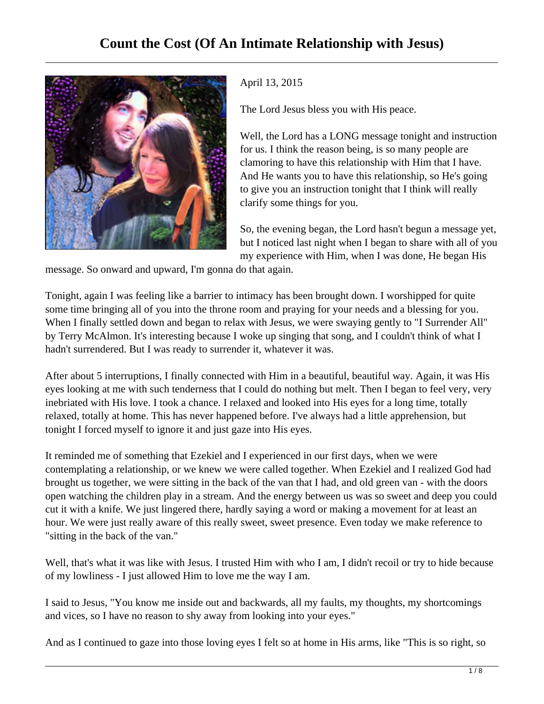

April 13, 2015

The Lord Jesus bless you with His peace.

Well, the Lord has a LONG message tonight and instruction for us. I think the reason being, is so many people are clamoring to have this relationship with Him that I have. And He wants you to have this relationship, so He's going to give you an instruction tonight that I think will really clarify some things for you.

So, the evening began, the Lord hasn't begun a message yet, but I noticed last night when I began to share with all of you my experience with Him, when I was done, He began His

message. So onward and upward, I'm gonna do that again.

Tonight, again I was feeling like a barrier to intimacy has been brought down. I worshipped for quite some time bringing all of you into the throne room and praying for your needs and a blessing for you. When I finally settled down and began to relax with Jesus, we were swaying gently to "I Surrender All" by Terry McAlmon. It's interesting because I woke up singing that song, and I couldn't think of what I hadn't surrendered. But I was ready to surrender it, whatever it was.

After about 5 interruptions, I finally connected with Him in a beautiful, beautiful way. Again, it was His eyes looking at me with such tenderness that I could do nothing but melt. Then I began to feel very, very inebriated with His love. I took a chance. I relaxed and looked into His eyes for a long time, totally relaxed, totally at home. This has never happened before. I've always had a little apprehension, but tonight I forced myself to ignore it and just gaze into His eyes.

It reminded me of something that Ezekiel and I experienced in our first days, when we were contemplating a relationship, or we knew we were called together. When Ezekiel and I realized God had brought us together, we were sitting in the back of the van that I had, and old green van - with the doors open watching the children play in a stream. And the energy between us was so sweet and deep you could cut it with a knife. We just lingered there, hardly saying a word or making a movement for at least an hour. We were just really aware of this really sweet, sweet presence. Even today we make reference to "sitting in the back of the van."

Well, that's what it was like with Jesus. I trusted Him with who I am, I didn't recoil or try to hide because of my lowliness - I just allowed Him to love me the way I am.

I said to Jesus, "You know me inside out and backwards, all my faults, my thoughts, my shortcomings and vices, so I have no reason to shy away from looking into your eyes."

And as I continued to gaze into those loving eyes I felt so at home in His arms, like "This is so right, so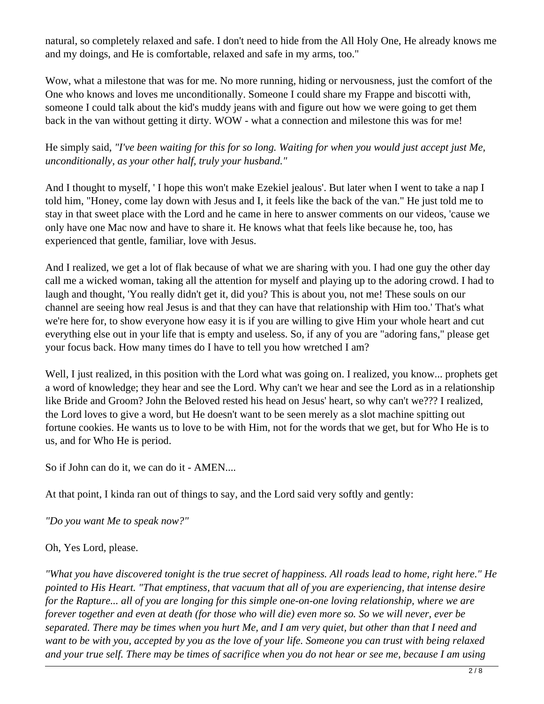natural, so completely relaxed and safe. I don't need to hide from the All Holy One, He already knows me and my doings, and He is comfortable, relaxed and safe in my arms, too."

Wow, what a milestone that was for me. No more running, hiding or nervousness, just the comfort of the One who knows and loves me unconditionally. Someone I could share my Frappe and biscotti with, someone I could talk about the kid's muddy jeans with and figure out how we were going to get them back in the van without getting it dirty. WOW - what a connection and milestone this was for me!

He simply said, *"I've been waiting for this for so long. Waiting for when you would just accept just Me, unconditionally, as your other half, truly your husband."*

And I thought to myself, ' I hope this won't make Ezekiel jealous'. But later when I went to take a nap I told him, "Honey, come lay down with Jesus and I, it feels like the back of the van." He just told me to stay in that sweet place with the Lord and he came in here to answer comments on our videos, 'cause we only have one Mac now and have to share it. He knows what that feels like because he, too, has experienced that gentle, familiar, love with Jesus.

And I realized, we get a lot of flak because of what we are sharing with you. I had one guy the other day call me a wicked woman, taking all the attention for myself and playing up to the adoring crowd. I had to laugh and thought, 'You really didn't get it, did you? This is about you, not me! These souls on our channel are seeing how real Jesus is and that they can have that relationship with Him too.' That's what we're here for, to show everyone how easy it is if you are willing to give Him your whole heart and cut everything else out in your life that is empty and useless. So, if any of you are "adoring fans," please get your focus back. How many times do I have to tell you how wretched I am?

Well, I just realized, in this position with the Lord what was going on. I realized, you know... prophets get a word of knowledge; they hear and see the Lord. Why can't we hear and see the Lord as in a relationship like Bride and Groom? John the Beloved rested his head on Jesus' heart, so why can't we??? I realized, the Lord loves to give a word, but He doesn't want to be seen merely as a slot machine spitting out fortune cookies. He wants us to love to be with Him, not for the words that we get, but for Who He is to us, and for Who He is period.

So if John can do it, we can do it - AMEN....

At that point, I kinda ran out of things to say, and the Lord said very softly and gently:

*"Do you want Me to speak now?"* 

## Oh, Yes Lord, please.

*"What you have discovered tonight is the true secret of happiness. All roads lead to home, right here." He pointed to His Heart. "That emptiness, that vacuum that all of you are experiencing, that intense desire for the Rapture... all of you are longing for this simple one-on-one loving relationship, where we are forever together and even at death (for those who will die) even more so. So we will never, ever be separated. There may be times when you hurt Me, and I am very quiet, but other than that I need and want to be with you, accepted by you as the love of your life. Someone you can trust with being relaxed and your true self. There may be times of sacrifice when you do not hear or see me, because I am using*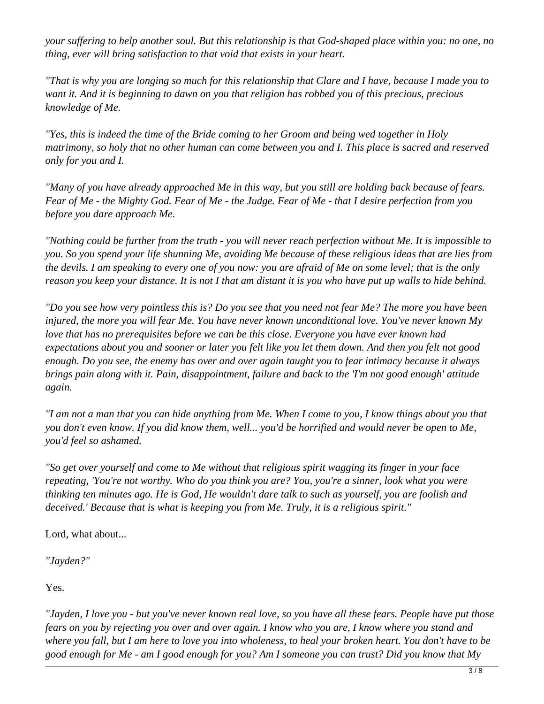*your suffering to help another soul. But this relationship is that God-shaped place within you: no one, no thing, ever will bring satisfaction to that void that exists in your heart.*

*"That is why you are longing so much for this relationship that Clare and I have, because I made you to want it. And it is beginning to dawn on you that religion has robbed you of this precious, precious knowledge of Me.*

*"Yes, this is indeed the time of the Bride coming to her Groom and being wed together in Holy matrimony, so holy that no other human can come between you and I. This place is sacred and reserved only for you and I.*

*"Many of you have already approached Me in this way, but you still are holding back because of fears. Fear of Me - the Mighty God. Fear of Me - the Judge. Fear of Me - that I desire perfection from you before you dare approach Me.*

*"Nothing could be further from the truth - you will never reach perfection without Me. It is impossible to you. So you spend your life shunning Me, avoiding Me because of these religious ideas that are lies from the devils. I am speaking to every one of you now: you are afraid of Me on some level; that is the only reason you keep your distance. It is not I that am distant it is you who have put up walls to hide behind.*

*"Do you see how very pointless this is? Do you see that you need not fear Me? The more you have been injured, the more you will fear Me. You have never known unconditional love. You've never known My love that has no prerequisites before we can be this close. Everyone you have ever known had expectations about you and sooner or later you felt like you let them down. And then you felt not good enough. Do you see, the enemy has over and over again taught you to fear intimacy because it always brings pain along with it. Pain, disappointment, failure and back to the 'I'm not good enough' attitude again.*

*"I am not a man that you can hide anything from Me. When I come to you, I know things about you that you don't even know. If you did know them, well... you'd be horrified and would never be open to Me, you'd feel so ashamed.*

*"So get over yourself and come to Me without that religious spirit wagging its finger in your face repeating, 'You're not worthy. Who do you think you are? You, you're a sinner, look what you were thinking ten minutes ago. He is God, He wouldn't dare talk to such as yourself, you are foolish and deceived.' Because that is what is keeping you from Me. Truly, it is a religious spirit."*

Lord, what about...

*"Jayden?"*

Yes.

*"Jayden, I love you - but you've never known real love, so you have all these fears. People have put those fears on you by rejecting you over and over again. I know who you are, I know where you stand and where you fall, but I am here to love you into wholeness, to heal your broken heart. You don't have to be good enough for Me - am I good enough for you? Am I someone you can trust? Did you know that My*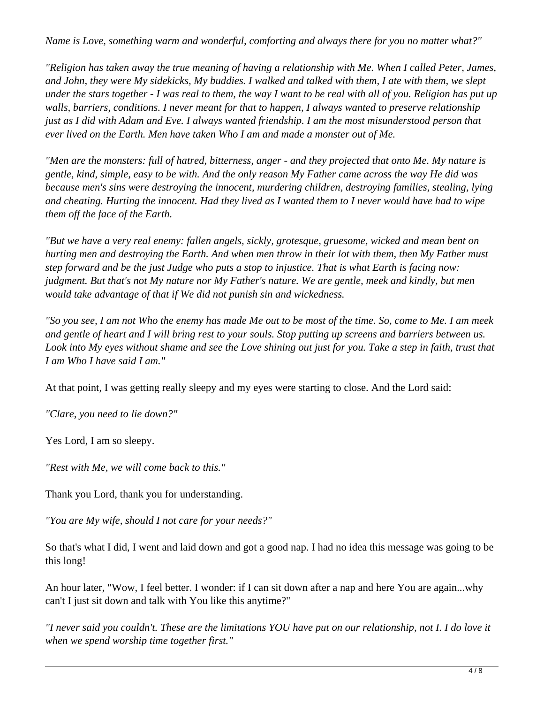*Name is Love, something warm and wonderful, comforting and always there for you no matter what?"*

*"Religion has taken away the true meaning of having a relationship with Me. When I called Peter, James, and John, they were My sidekicks, My buddies. I walked and talked with them, I ate with them, we slept under the stars together - I was real to them, the way I want to be real with all of you. Religion has put up walls, barriers, conditions. I never meant for that to happen, I always wanted to preserve relationship just as I did with Adam and Eve. I always wanted friendship. I am the most misunderstood person that ever lived on the Earth. Men have taken Who I am and made a monster out of Me.*

*"Men are the monsters: full of hatred, bitterness, anger - and they projected that onto Me. My nature is gentle, kind, simple, easy to be with. And the only reason My Father came across the way He did was because men's sins were destroying the innocent, murdering children, destroying families, stealing, lying and cheating. Hurting the innocent. Had they lived as I wanted them to I never would have had to wipe them off the face of the Earth.*

*"But we have a very real enemy: fallen angels, sickly, grotesque, gruesome, wicked and mean bent on hurting men and destroying the Earth. And when men throw in their lot with them, then My Father must step forward and be the just Judge who puts a stop to injustice. That is what Earth is facing now: judgment. But that's not My nature nor My Father's nature. We are gentle, meek and kindly, but men would take advantage of that if We did not punish sin and wickedness.*

*"So you see, I am not Who the enemy has made Me out to be most of the time. So, come to Me. I am meek and gentle of heart and I will bring rest to your souls. Stop putting up screens and barriers between us. Look into My eyes without shame and see the Love shining out just for you. Take a step in faith, trust that I am Who I have said I am."*

At that point, I was getting really sleepy and my eyes were starting to close. And the Lord said:

*"Clare, you need to lie down?"*

Yes Lord, I am so sleepy.

*"Rest with Me, we will come back to this."*

Thank you Lord, thank you for understanding.

*"You are My wife, should I not care for your needs?"*

So that's what I did, I went and laid down and got a good nap. I had no idea this message was going to be this long!

An hour later, "Wow, I feel better. I wonder: if I can sit down after a nap and here You are again...why can't I just sit down and talk with You like this anytime?"

*"I never said you couldn't. These are the limitations YOU have put on our relationship, not I. I do love it when we spend worship time together first."*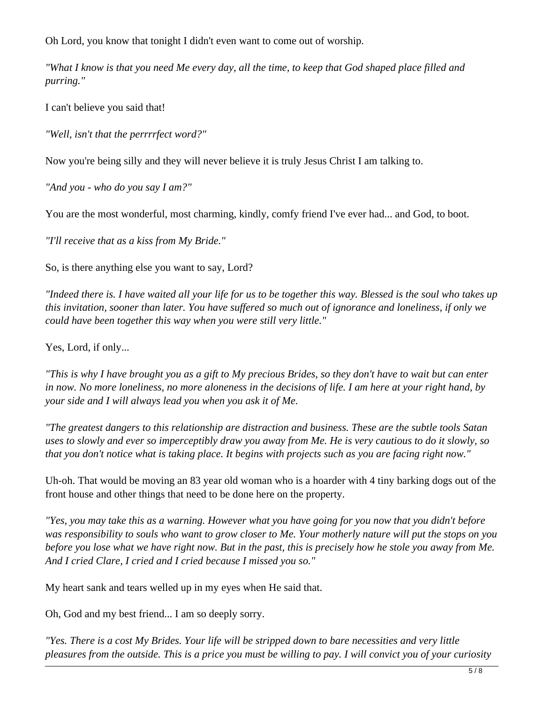Oh Lord, you know that tonight I didn't even want to come out of worship.

*"What I know is that you need Me every day, all the time, to keep that God shaped place filled and purring."*

I can't believe you said that!

*"Well, isn't that the perrrrfect word?"*

Now you're being silly and they will never believe it is truly Jesus Christ I am talking to.

*"And you - who do you say I am?"*

You are the most wonderful, most charming, kindly, comfy friend I've ever had... and God, to boot.

*"I'll receive that as a kiss from My Bride."*

So, is there anything else you want to say, Lord?

*"Indeed there is. I have waited all your life for us to be together this way. Blessed is the soul who takes up this invitation, sooner than later. You have suffered so much out of ignorance and loneliness, if only we could have been together this way when you were still very little."*

Yes, Lord, if only...

*"This is why I have brought you as a gift to My precious Brides, so they don't have to wait but can enter in now. No more loneliness, no more aloneness in the decisions of life. I am here at your right hand, by your side and I will always lead you when you ask it of Me.*

*"The greatest dangers to this relationship are distraction and business. These are the subtle tools Satan uses to slowly and ever so imperceptibly draw you away from Me. He is very cautious to do it slowly, so that you don't notice what is taking place. It begins with projects such as you are facing right now."*

Uh-oh. That would be moving an 83 year old woman who is a hoarder with 4 tiny barking dogs out of the front house and other things that need to be done here on the property.

*"Yes, you may take this as a warning. However what you have going for you now that you didn't before was responsibility to souls who want to grow closer to Me. Your motherly nature will put the stops on you before you lose what we have right now. But in the past, this is precisely how he stole you away from Me. And I cried Clare, I cried and I cried because I missed you so."*

My heart sank and tears welled up in my eyes when He said that.

Oh, God and my best friend... I am so deeply sorry.

*"Yes. There is a cost My Brides. Your life will be stripped down to bare necessities and very little pleasures from the outside. This is a price you must be willing to pay. I will convict you of your curiosity*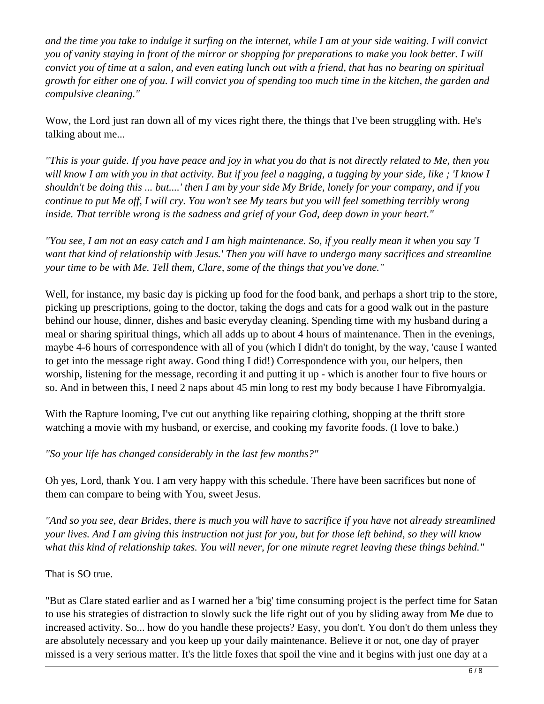*and the time you take to indulge it surfing on the internet, while I am at your side waiting. I will convict you of vanity staying in front of the mirror or shopping for preparations to make you look better. I will convict you of time at a salon, and even eating lunch out with a friend, that has no bearing on spiritual growth for either one of you. I will convict you of spending too much time in the kitchen, the garden and compulsive cleaning."*

Wow, the Lord just ran down all of my vices right there, the things that I've been struggling with. He's talking about me...

*"This is your guide. If you have peace and joy in what you do that is not directly related to Me, then you will know I am with you in that activity. But if you feel a nagging, a tugging by your side, like ; 'I know I shouldn't be doing this ... but....' then I am by your side My Bride, lonely for your company, and if you continue to put Me off, I will cry. You won't see My tears but you will feel something terribly wrong inside. That terrible wrong is the sadness and grief of your God, deep down in your heart."*

*"You see, I am not an easy catch and I am high maintenance. So, if you really mean it when you say 'I want that kind of relationship with Jesus.' Then you will have to undergo many sacrifices and streamline your time to be with Me. Tell them, Clare, some of the things that you've done."* 

Well, for instance, my basic day is picking up food for the food bank, and perhaps a short trip to the store, picking up prescriptions, going to the doctor, taking the dogs and cats for a good walk out in the pasture behind our house, dinner, dishes and basic everyday cleaning. Spending time with my husband during a meal or sharing spiritual things, which all adds up to about 4 hours of maintenance. Then in the evenings, maybe 4-6 hours of correspondence with all of you (which I didn't do tonight, by the way, 'cause I wanted to get into the message right away. Good thing I did!) Correspondence with you, our helpers, then worship, listening for the message, recording it and putting it up - which is another four to five hours or so. And in between this, I need 2 naps about 45 min long to rest my body because I have Fibromyalgia.

With the Rapture looming, I've cut out anything like repairing clothing, shopping at the thrift store watching a movie with my husband, or exercise, and cooking my favorite foods. (I love to bake.)

*"So your life has changed considerably in the last few months?"*

Oh yes, Lord, thank You. I am very happy with this schedule. There have been sacrifices but none of them can compare to being with You, sweet Jesus.

*"And so you see, dear Brides, there is much you will have to sacrifice if you have not already streamlined your lives. And I am giving this instruction not just for you, but for those left behind, so they will know what this kind of relationship takes. You will never, for one minute regret leaving these things behind."*

That is SO true.

"But as Clare stated earlier and as I warned her a 'big' time consuming project is the perfect time for Satan to use his strategies of distraction to slowly suck the life right out of you by sliding away from Me due to increased activity. So... how do you handle these projects? Easy, you don't. You don't do them unless they are absolutely necessary and you keep up your daily maintenance. Believe it or not, one day of prayer missed is a very serious matter. It's the little foxes that spoil the vine and it begins with just one day at a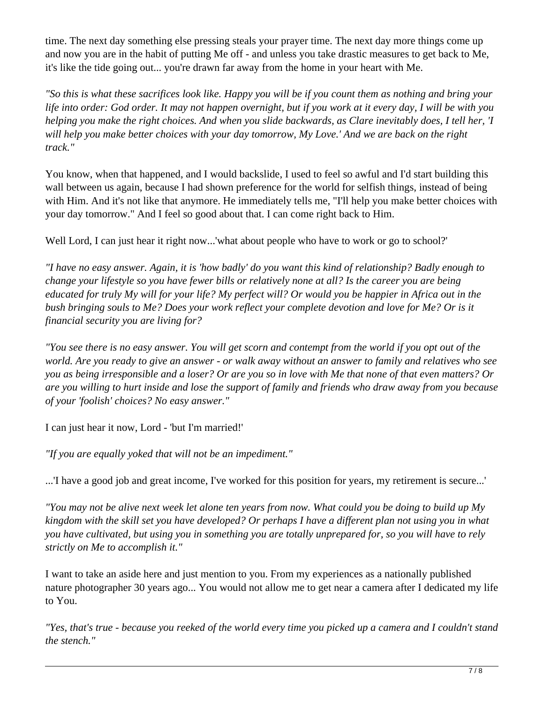time. The next day something else pressing steals your prayer time. The next day more things come up and now you are in the habit of putting Me off - and unless you take drastic measures to get back to Me, it's like the tide going out... you're drawn far away from the home in your heart with Me.

*"So this is what these sacrifices look like. Happy you will be if you count them as nothing and bring your life into order: God order. It may not happen overnight, but if you work at it every day, I will be with you helping you make the right choices. And when you slide backwards, as Clare inevitably does, I tell her, 'I will help you make better choices with your day tomorrow, My Love.' And we are back on the right track."*

You know, when that happened, and I would backslide, I used to feel so awful and I'd start building this wall between us again, because I had shown preference for the world for selfish things, instead of being with Him. And it's not like that anymore. He immediately tells me, "I'll help you make better choices with your day tomorrow." And I feel so good about that. I can come right back to Him.

Well Lord, I can just hear it right now...'what about people who have to work or go to school?'

*"I have no easy answer. Again, it is 'how badly' do you want this kind of relationship? Badly enough to change your lifestyle so you have fewer bills or relatively none at all? Is the career you are being educated for truly My will for your life? My perfect will? Or would you be happier in Africa out in the bush bringing souls to Me? Does your work reflect your complete devotion and love for Me? Or is it financial security you are living for?*

*"You see there is no easy answer. You will get scorn and contempt from the world if you opt out of the world. Are you ready to give an answer - or walk away without an answer to family and relatives who see you as being irresponsible and a loser? Or are you so in love with Me that none of that even matters? Or are you willing to hurt inside and lose the support of family and friends who draw away from you because of your 'foolish' choices? No easy answer."*

I can just hear it now, Lord - 'but I'm married!'

*"If you are equally yoked that will not be an impediment."*

...'I have a good job and great income, I've worked for this position for years, my retirement is secure...'

*"You may not be alive next week let alone ten years from now. What could you be doing to build up My kingdom with the skill set you have developed? Or perhaps I have a different plan not using you in what you have cultivated, but using you in something you are totally unprepared for, so you will have to rely strictly on Me to accomplish it."*

I want to take an aside here and just mention to you. From my experiences as a nationally published nature photographer 30 years ago... You would not allow me to get near a camera after I dedicated my life to You.

*"Yes, that's true - because you reeked of the world every time you picked up a camera and I couldn't stand the stench."*